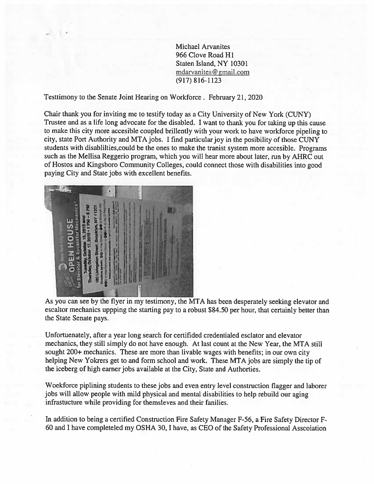Michael Arvanites 966 Clove Road Hi Staten Island, NY 10301 mdarvanites@gmail.com (917) 816-1123

Testtimony to the Senate Joint Hearing on Workforce. February 21, 2020

Chair thank you for inviting me to testify today as <sup>a</sup> City University of New York (CUNY) Trustee and as <sup>a</sup> life long advocate for the disabled. <sup>I</sup> want to thank you for taking up this cause to make this city more accesible coupled brillently with your work to have workforce <sup>p</sup>ipeling to city, state Port Authority and MTA jobs. <sup>I</sup> find particular joy in the posibility of those CUNY students with disablilties,could be the ones to make the tranist system more accesible. Programs such as the Mellisa Reggerio program, which you will hear more about later, run by AHRC out of Hostos and Kingsboro Community Colleges, could connect those with disabilities into goo<sup>d</sup> paying City and State jobs with excellent benefits.



As you can see by the flyer in my testimony, the MTA has been desperately seeking elevator and escaltor mechanics uppping the starting pay to <sup>a</sup> robust \$84.50 per hour, that certainly better than the State Senate pays.

Unfortuenately, after <sup>a</sup> year long search for certifided credentialed esclator and elevator mechanics, they still simply do not have enough. At last count at the New Year, the MTA still sought 200+ mechanics. These are more than livable wages with benefits; in our own city helping New Yokrers ge<sup>t</sup> to and form school and work. These MTA jobs are simply the tip of the iceberg of high earner jobs available at the City, State and Authorties.

Woekforce <sup>p</sup>iplining students to these jobs and even entry level construction flagger and laborer jobs will allow people with mild <sup>p</sup>hysical and mental disabilities to help rebuild our aging infrastucture while providing for themsleves and their fanilies.

In addition to being <sup>a</sup> certified Construction Fire Safety Manager F-56, <sup>a</sup> Fire Safety Director <sup>F</sup> 60 and <sup>I</sup> have completeled my OSHA 30, <sup>I</sup> have, as CEO of the Safety Professional Asscoiation